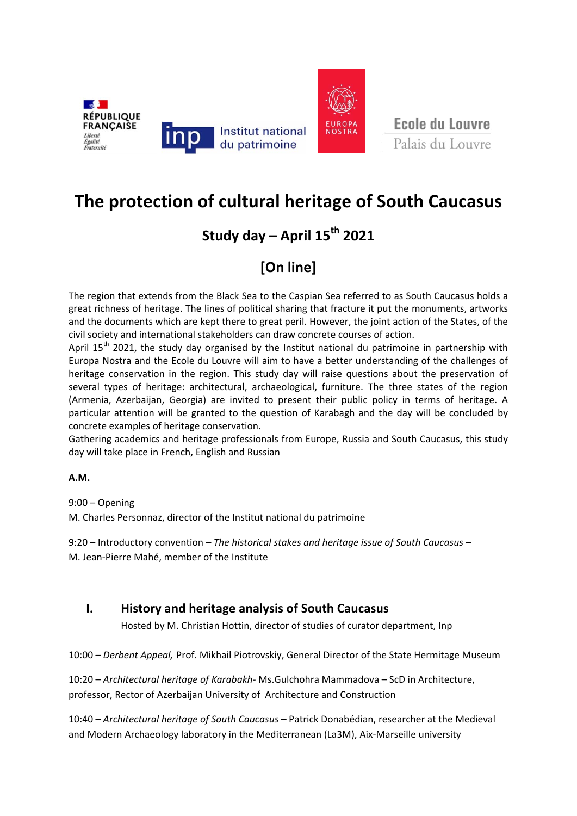

Ecole du Louvre

# **The protection of cultural heritage of South Caucasus**

### **Study day – April 15th 2021**

## **[On line]**

The region that extends from the Black Sea to the Caspian Sea referred to as South Caucasus holds a great richness of heritage. The lines of political sharing that fracture it put the monuments, artworks and the documents which are kept there to great peril. However, the joint action of the States, of the civil society and international stakeholders can draw concrete courses of action.

April  $15<sup>th</sup>$  2021, the study day organised by the Institut national du patrimoine in partnership with Europa Nostra and the Ecole du Louvre will aim to have a better understanding of the challenges of heritage conservation in the region. This study day will raise questions about the preservation of several types of heritage: architectural, archaeological, furniture. The three states of the region (Armenia, Azerbaijan, Georgia) are invited to present their public policy in terms of heritage. A particular attention will be granted to the question of Karabagh and the day will be concluded by concrete examples of heritage conservation.

Gathering academics and heritage professionals from Europe, Russia and South Caucasus, this study day will take place in French, English and Russian

**A.M.**

9:00 – Opening

M. Charles Personnaz, director of the Institut national du patrimoine

9:20 – Introductory convention *– The historical stakes and heritage issue of South Caucasus* – M. Jean‐Pierre Mahé, member of the Institute

### **I. History and heritage analysis of South Caucasus**

Hosted by M. Christian Hottin, director of studies of curator department, Inp

10:00 – *Derbent Appeal,* Prof. Mikhail Piotrovskiy, General Director of the State Hermitage Museum

10:20 – *Architectural heritage of Karabakh‐* Ms.Gulchohra Mammadova – ScD in Architecture, professor, Rector of Azerbaijan University of Architecture and Construction

10:40 – *Architectural heritage of South Caucasus* – Patrick Donabédian, researcher at the Medieval and Modern Archaeology laboratory in the Mediterranean (La3M), Aix‐Marseille university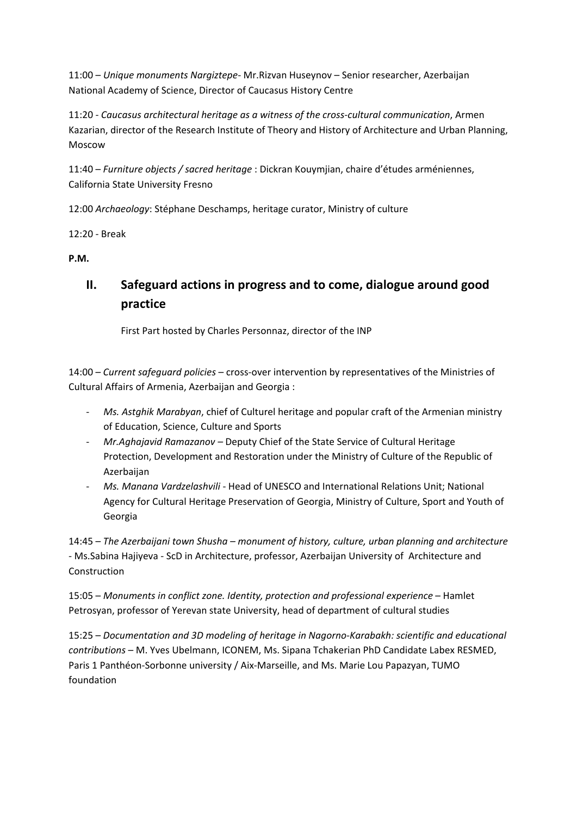11:00 – *Unique monuments Nargiztepe‐* Mr.Rizvan Huseynov – Senior researcher, Azerbaijan National Academy of Science, Director of Caucasus History Centre

11:20 ‐ *Caucasus architectural heritage as a witness of the cross‐cultural communication*, Armen Kazarian, director of the Research Institute of Theory and History of Architecture and Urban Planning, Moscow

11:40 – *Furniture objects / sacred heritage* : Dickran Kouymjian, chaire d'études arméniennes, California State University Fresno

12:00 *Archaeology*: Stéphane Deschamps, heritage curator, Ministry of culture

12:20 ‐ Break

**P.M.**

### **II. Safeguard actions in progress and to come, dialogue around good practice**

First Part hosted by Charles Personnaz, director of the INP

14:00 – *Current safeguard policies* – cross‐over intervention by representatives of the Ministries of Cultural Affairs of Armenia, Azerbaijan and Georgia :

- ‐ *Ms. Astghik Marabyan*, chief of Culturel heritage and popular craft of the Armenian ministry of Education, Science, Culture and Sports
- ‐ *Mr.Aghajavid Ramazanov –* Deputy Chief of the State Service of Cultural Heritage Protection, Development and Restoration under the Ministry of Culture of the Republic of Azerbaijan
- ‐ *Ms. Manana Vardzelashvili* ‐ Head of UNESCO and International Relations Unit; National Agency for Cultural Heritage Preservation of Georgia, Ministry of Culture, Sport and Youth of Georgia

14:45 – *The Azerbaijani town Shusha – monument of history, culture, urban planning and architecture ‐* Ms.Sabina Hajiyeva ‐ ScD in Architecture, professor, Azerbaijan University of Architecture and Construction

15:05 – *Monuments in conflict zone. Identity, protection and professional experience* – Hamlet Petrosyan, professor of Yerevan state University, head of department of cultural studies

15:25 – *Documentation and 3D modeling of heritage in Nagorno‐Karabakh: scientific and educational contributions* – M. Yves Ubelmann, ICONEM, Ms. Sipana Tchakerian PhD Candidate Labex RESMED, Paris 1 Panthéon-Sorbonne university / Aix-Marseille, and Ms. Marie Lou Papazyan, TUMO foundation